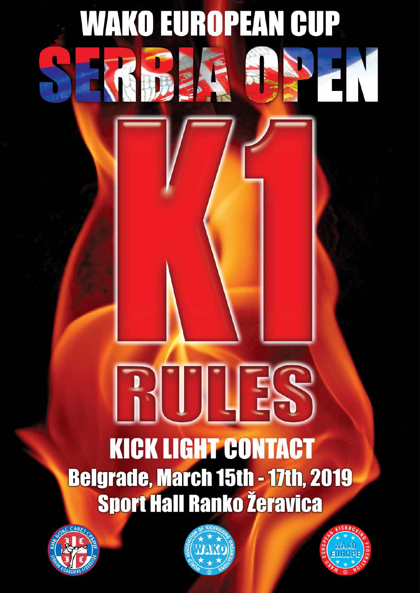# **KICK LIGHT CONTACT Belgrade, March 15th - 17th, 2019 Sport Hall Ranko Žeravica**

**WAKO EUROPEAN CUP** 





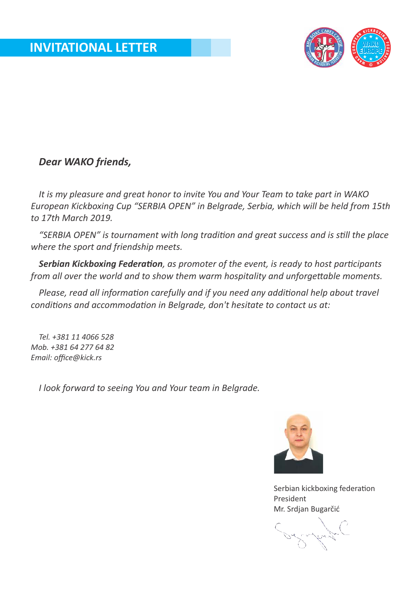

## *Dear WAKO friends,*

*It is my pleasure and great honor to invite You and Your Team to take part in WAKO European Kickboxing Cup "SERBIA OPEN" in Belgrade, Serbia, which will be held from 15th to 17th March 2019.*

"SERBIA OPEN" is tournament with long tradition and great success and is still the place *where the sport and friendship meets.*

**Serbian Kickboxing Federation**, as promoter of the event, is ready to host participants *from all over the world and to show them warm hospitality and unforgettable moments.* 

*Please, read all information carefully and if you need any additional help about travel conditions and accommodation in Belarade, don't hesitate to contact us at:* 

*Tel. +381 11 4066 528 Mob. +381 64 277 64 82 Email: office@kick.rs*

*I look forward to seeing You and Your team in Belgrade.*



Serbian kickboxing federation President Mr. Srdjan Bugarčić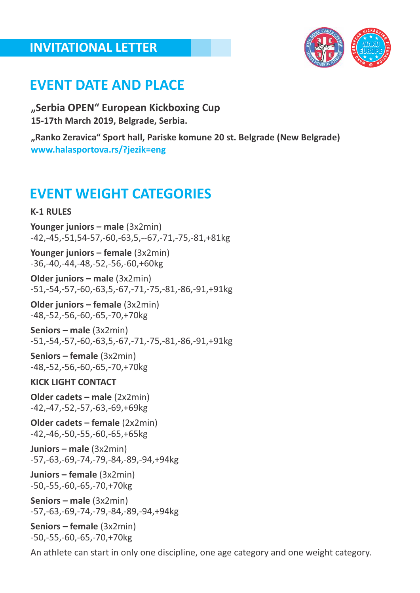## **INVITATIONAL LETTER**



## **EVENT DATE AND PLACE**

**"Serbia OPEN" European Kickboxing Cup 15-17th March 2019, Belgrade, Serbia.**

**"Ranko Zeravica" Sport hall, Pariske komune 20 st. Belgrade (New Belgrade) www.halasportova.rs/?jezik=eng**

# **EVENT WEIGHT CATEGORIES**

#### **K-1 RULES**

**Younger juniors – male** (3x2min) -42,-45,-51,54-57,-60,-63,5,--67,-71,-75,-81,+81kg

**Younger juniors – female** (3x2min) -36,-40,-44,-48,-52,-56,-60,+60kg

**Older juniors – male** (3x2min) -51,-54,-57,-60,-63,5,-67,-71,-75,-81,-86,-91,+91kg

**Older juniors – female** (3x2min) -48,-52,-56,-60,-65,-70,+70kg

**Seniors – male** (3x2min) -51,-54,-57,-60,-63,5,-67,-71,-75,-81,-86,-91,+91kg

**Seniors – female** (3x2min) -48,-52,-56,-60,-65,-70,+70kg

#### **KICK LIGHT CONTACT**

**Older cadets – male** (2x2min) -42,-47,-52,-57,-63,-69,+69kg

**Older cadets – female** (2x2min) -42,-46,-50,-55,-60,-65,+65kg

**Juniors – male** (3x2min) -57,-63,-69,-74,-79,-84,-89,-94,+94kg

**Juniors – female** (3x2min) -50,-55,-60,-65,-70,+70kg

**Seniors – male** (3x2min) -57,-63,-69,-74,-79,-84,-89,-94,+94kg

**Seniors – female** (3x2min) -50,-55,-60,-65,-70,+70kg

An athlete can start in only one discipline, one age category and one weight category.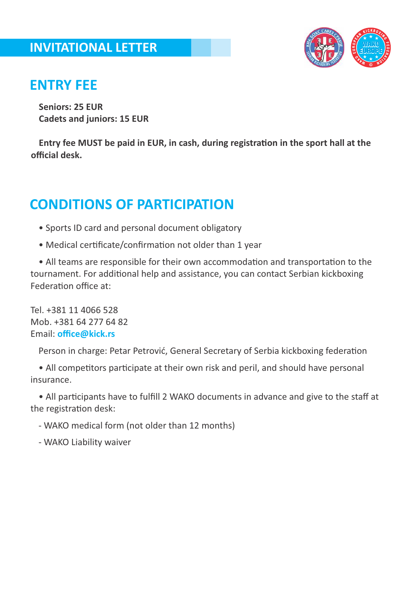

## **ENTRY FEE**

**Seniors: 25 EUR Cadets and juniors: 15 EUR**

**Entry fee MUST be paid in EUR, in cash, during registration in the sport hall at the official desk.**

# **CONDITIONS OF PARTICIPATION**

- Sports ID card and personal document obligatory
- Medical certificate/confirmation not older than 1 year

• All teams are responsible for their own accommodation and transportation to the tournament. For additional help and assistance, you can contact Serbian kickboxing Federation office  $at$ :

Tel. +381 11 4066 528 Mob. +381 64 277 64 82 Email: **office@kick.rs**

Person in charge: Petar Petrović, General Secretary of Serbia kickboxing federation

• All competitors participate at their own risk and peril, and should have personal insurance.

• All participants have to fulfill 2 WAKO documents in advance and give to the staff at the registration desk:

- WAKO medical form (not older than 12 months)

- WAKO Liability waiver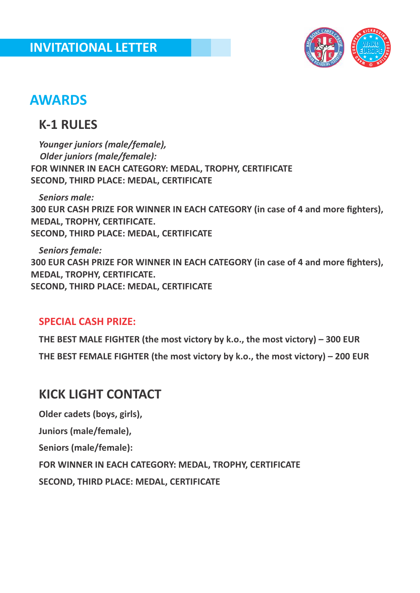

# **AWARDS**

## **K-1 RULES**

*Younger juniors (male/female), Older juniors (male/female):* **FOR WINNER IN EACH CATEGORY: MEDAL, TROPHY, CERTIFICATE SECOND, THIRD PLACE: MEDAL, CERTIFICATE**

*Seniors male:*  **300 EUR CASH PRIZE FOR WINNER IN EACH CATEGORY (in case of 4 and more fighters), MEDAL, TROPHY, CERTIFICATE. SECOND, THIRD PLACE: MEDAL, CERTIFICATE**

*Seniors female:* **300 EUR CASH PRIZE FOR WINNER IN EACH CATEGORY (in case of 4 and more fighters), MEDAL, TROPHY, CERTIFICATE. SECOND, THIRD PLACE: MEDAL, CERTIFICATE**

## **SPECIAL CASH PRIZE:**

**THE BEST MALE FIGHTER (the most victory by k.o., the most victory) – 300 EUR THE BEST FEMALE FIGHTER (the most victory by k.o., the most victory) – 200 EUR**

## **KICK LIGHT CONTACT**

**Older cadets (boys, girls),**

**Juniors (male/female),**

**Seniors (male/female):**

**FOR WINNER IN EACH CATEGORY: MEDAL, TROPHY, CERTIFICATE**

**SECOND, THIRD PLACE: MEDAL, CERTIFICATE**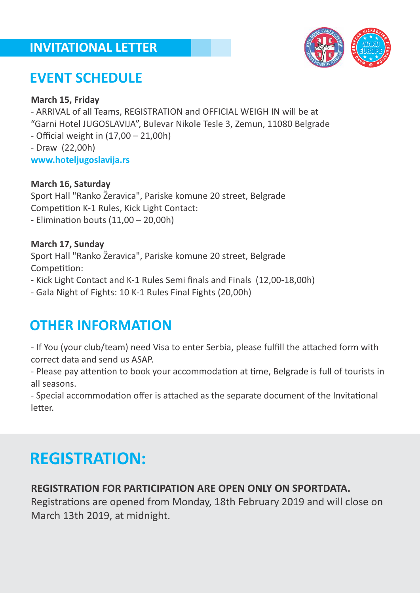## **INVITATIONAL LETTER**



# **EVENT SCHEDULE**

#### **March 15, Friday**

- ARRIVAL of all Teams, REGISTRATION and OFFICIAL WEIGH IN will be at

"Garni Hotel JUGOSLAVIJA", Bulevar Nikole Tesle 3, Zemun, 11080 Belgrade

- Official weight in (17,00 – 21,00h)

- Draw (22,00h)

**www.hoteljugoslavija.rs**

#### **March 16, Saturday**

Sport Hall "Ranko Žeravica", Pariske komune 20 street, Belgrade Competition K-1 Rules, Kick Light Contact: - Elimination bouts  $(11,00 - 20,00h)$ 

#### **March 17, Sunday**

Sport Hall "Ranko Žeravica", Pariske komune 20 street, Belgrade Competition:

- Kick Light Contact and K-1 Rules Semi finals and Finals (12,00-18,00h)

- Gala Night of Fights: 10 K-1 Rules Final Fights (20,00h)

# **OTHER INFORMATION**

- If You (your club/team) need Visa to enter Serbia, please fulfill the attached form with correct data and send us ASAP.

- Please pay attention to book your accommodation at time, Belgrade is full of tourists in all seasons.

- Special accommodation offer is attached as the separate document of the Invitational letter.

# **REGISTRATION:**

## **REGISTRATION FOR PARTICIPATION ARE OPEN ONLY ON SPORTDATA.**

Registrations are opened from Monday, 18th February 2019 and will close on March 13th 2019, at midnight.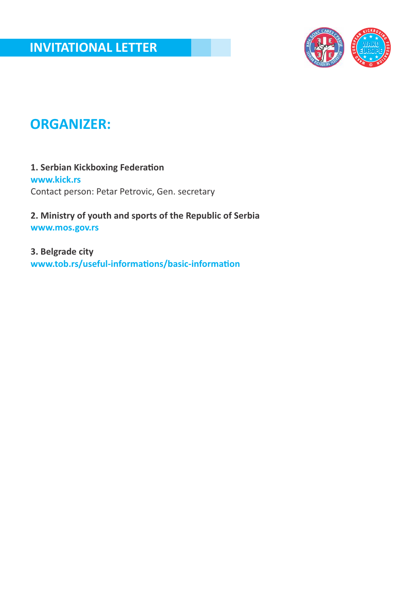

# **ORGANIZER:**

#### **1. Serbian Kickboxing Federation www.kick.rs** Contact person: Petar Petrovic, Gen. secretary

**2. Ministry of youth and sports of the Republic of Serbia www.mos.gov.rs**

**3. Belgrade city** www.tob.rs/useful-informations/basic-information